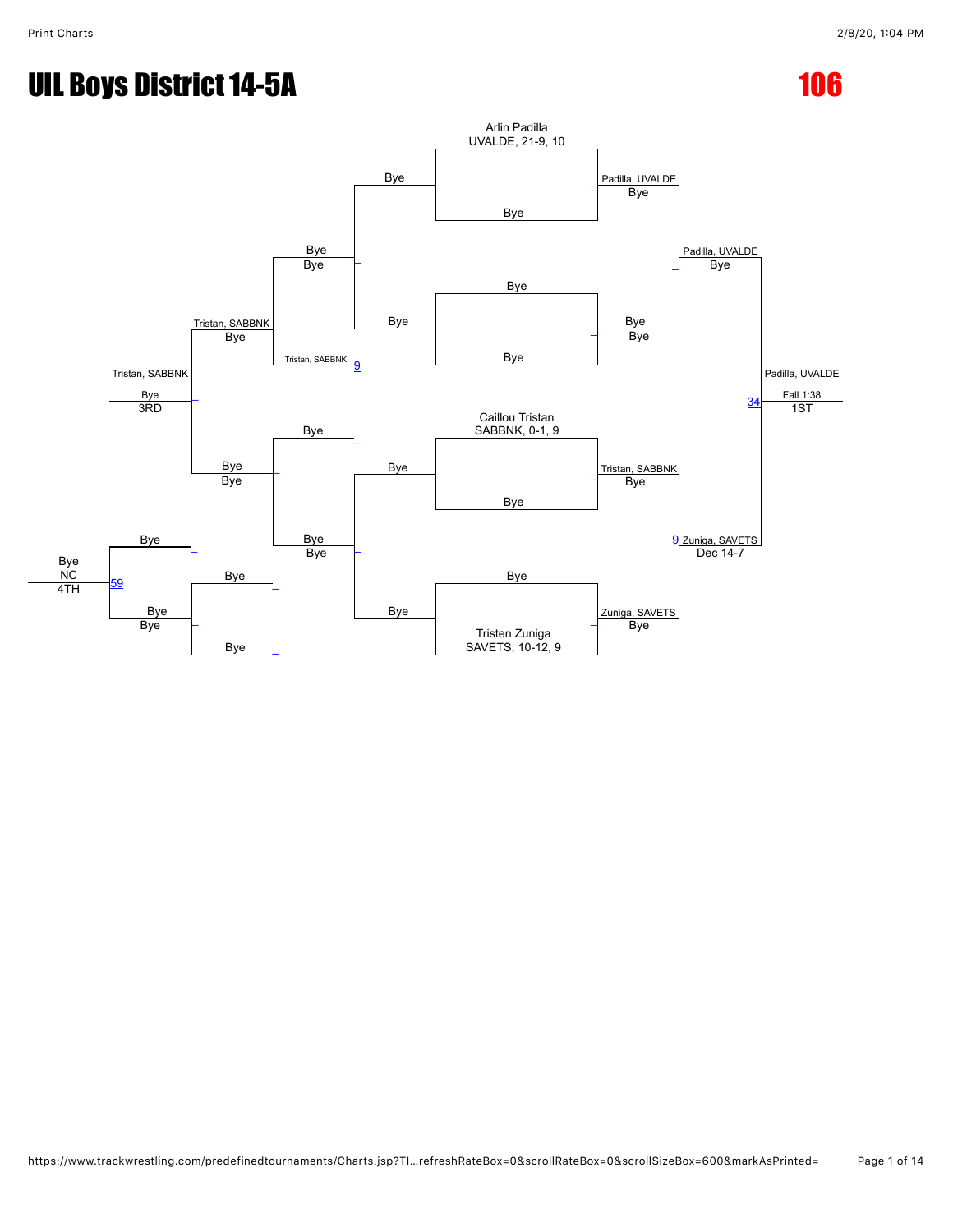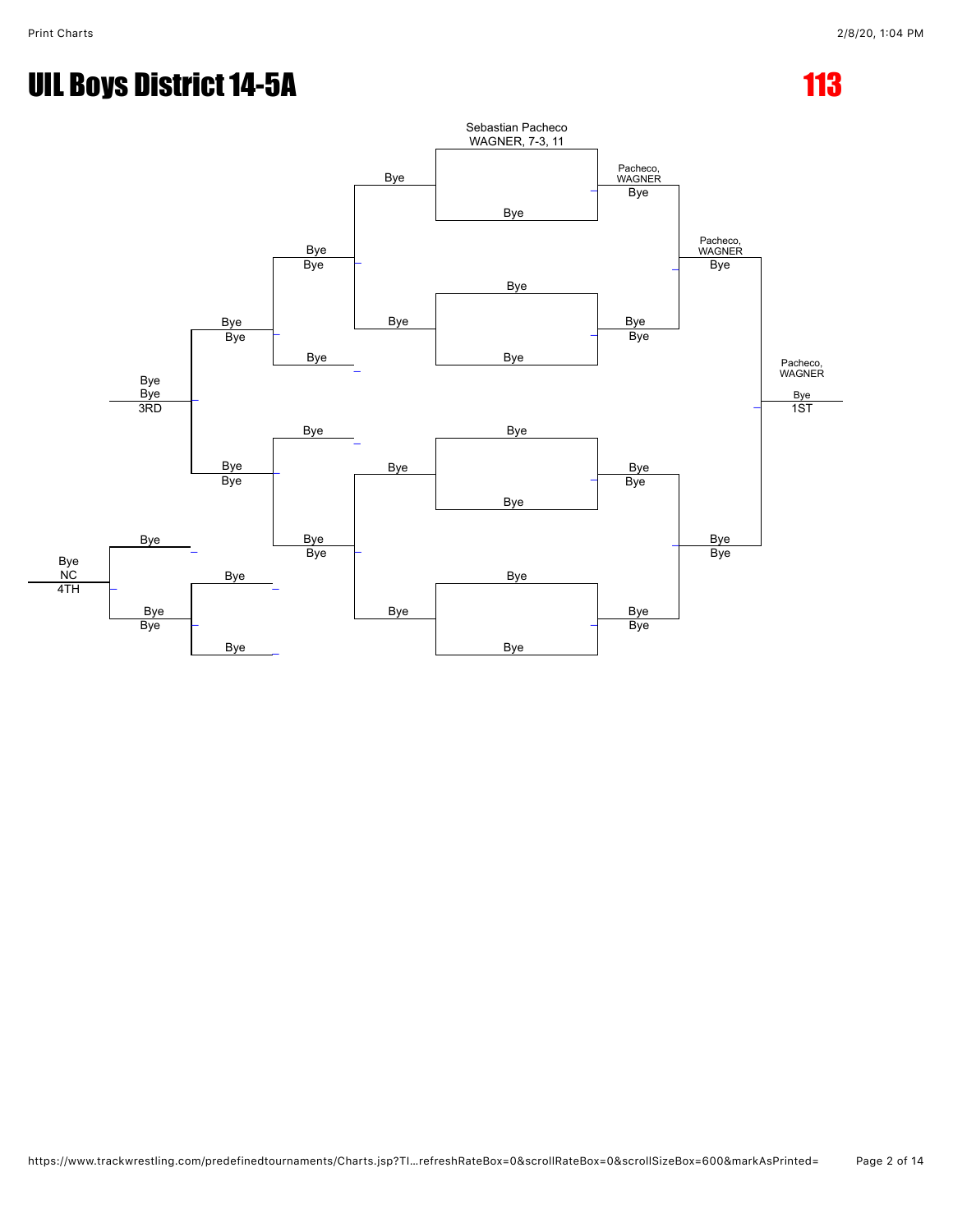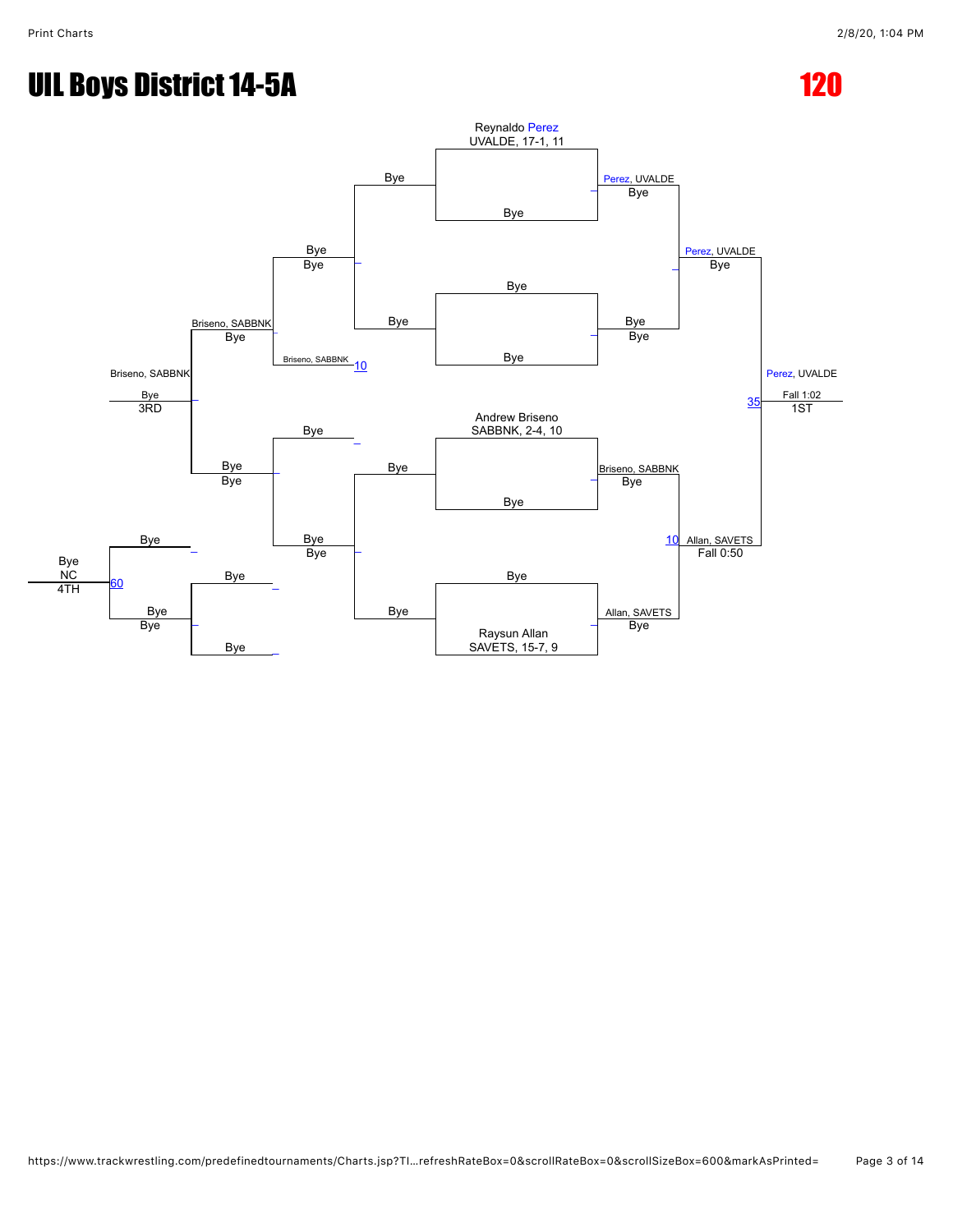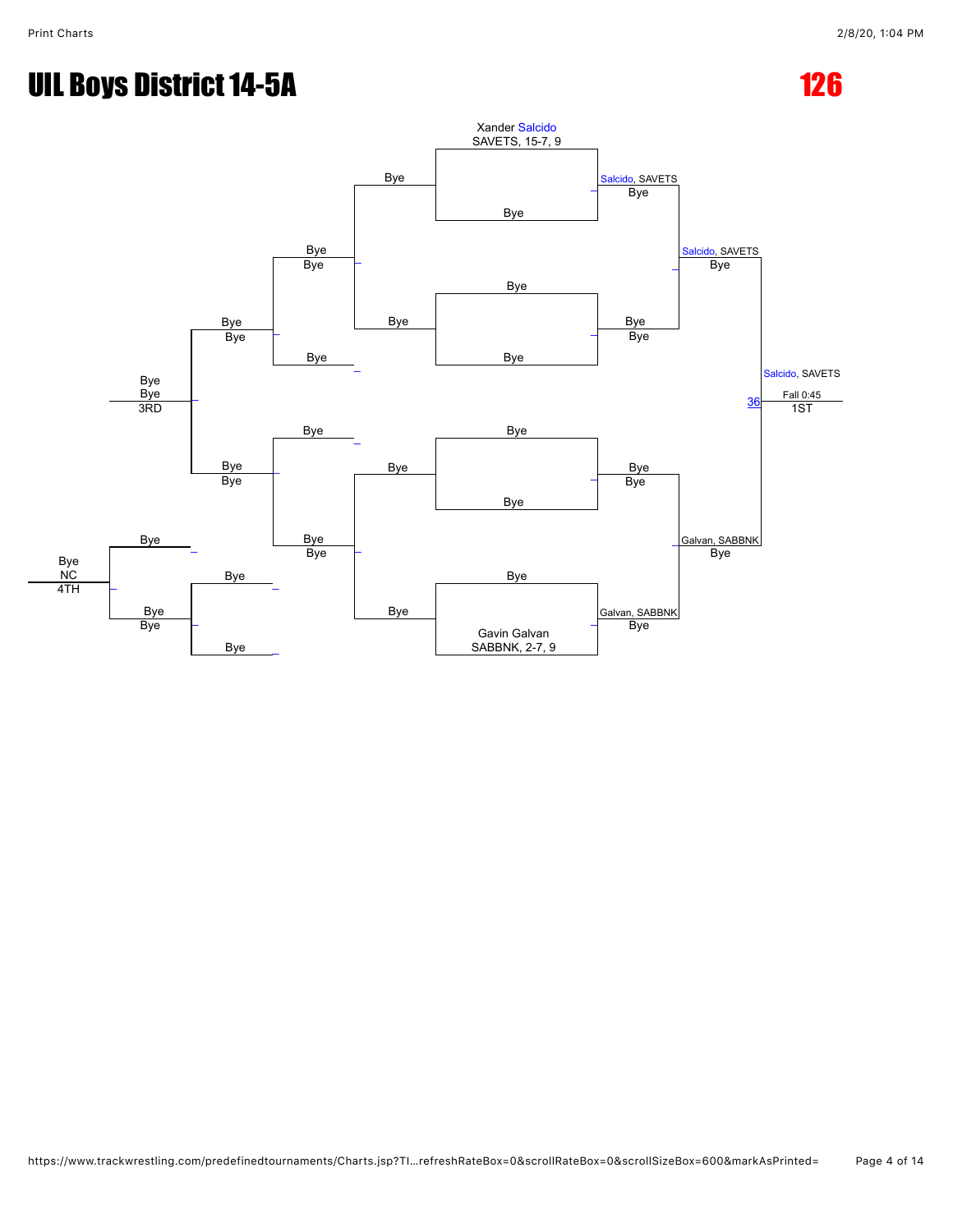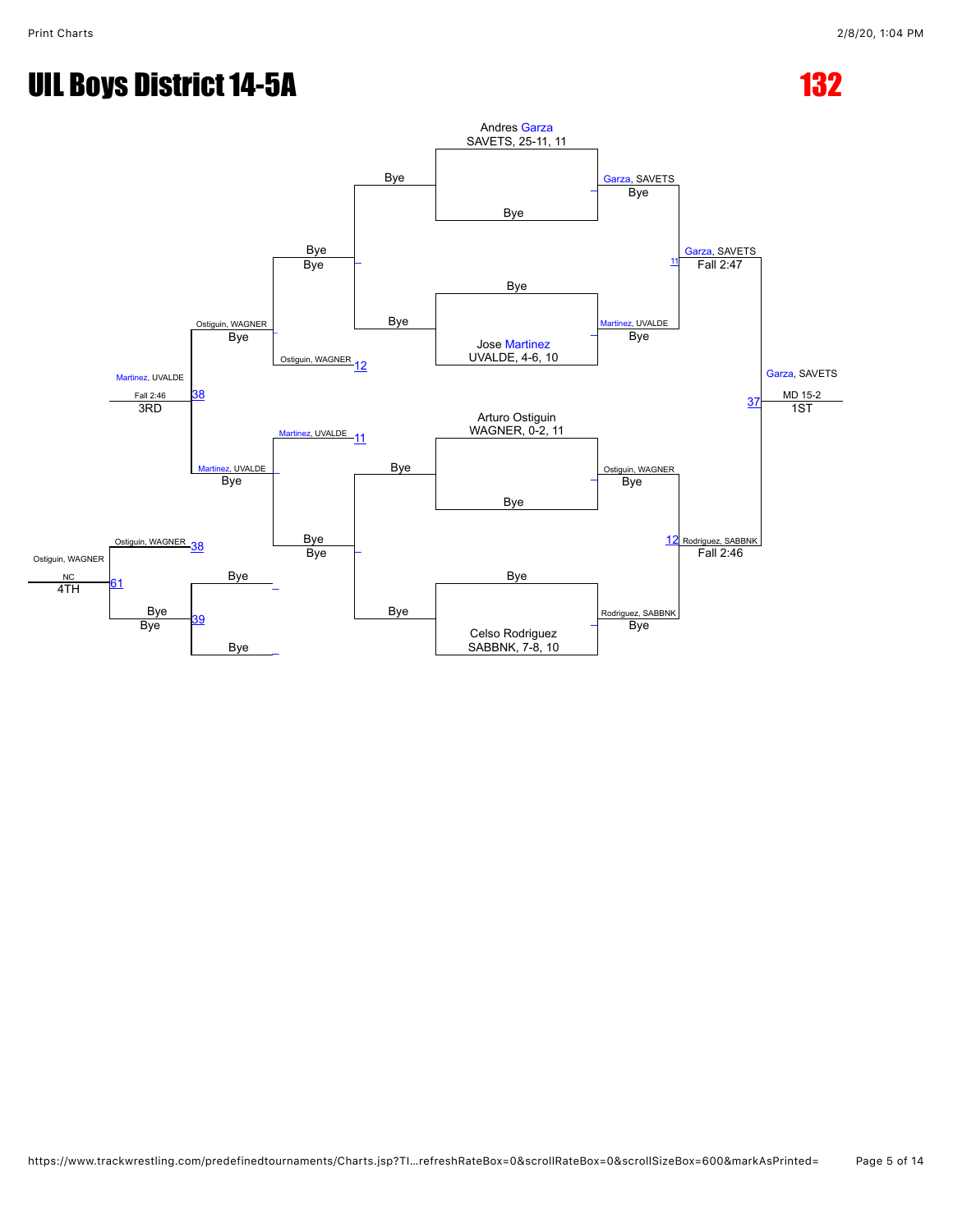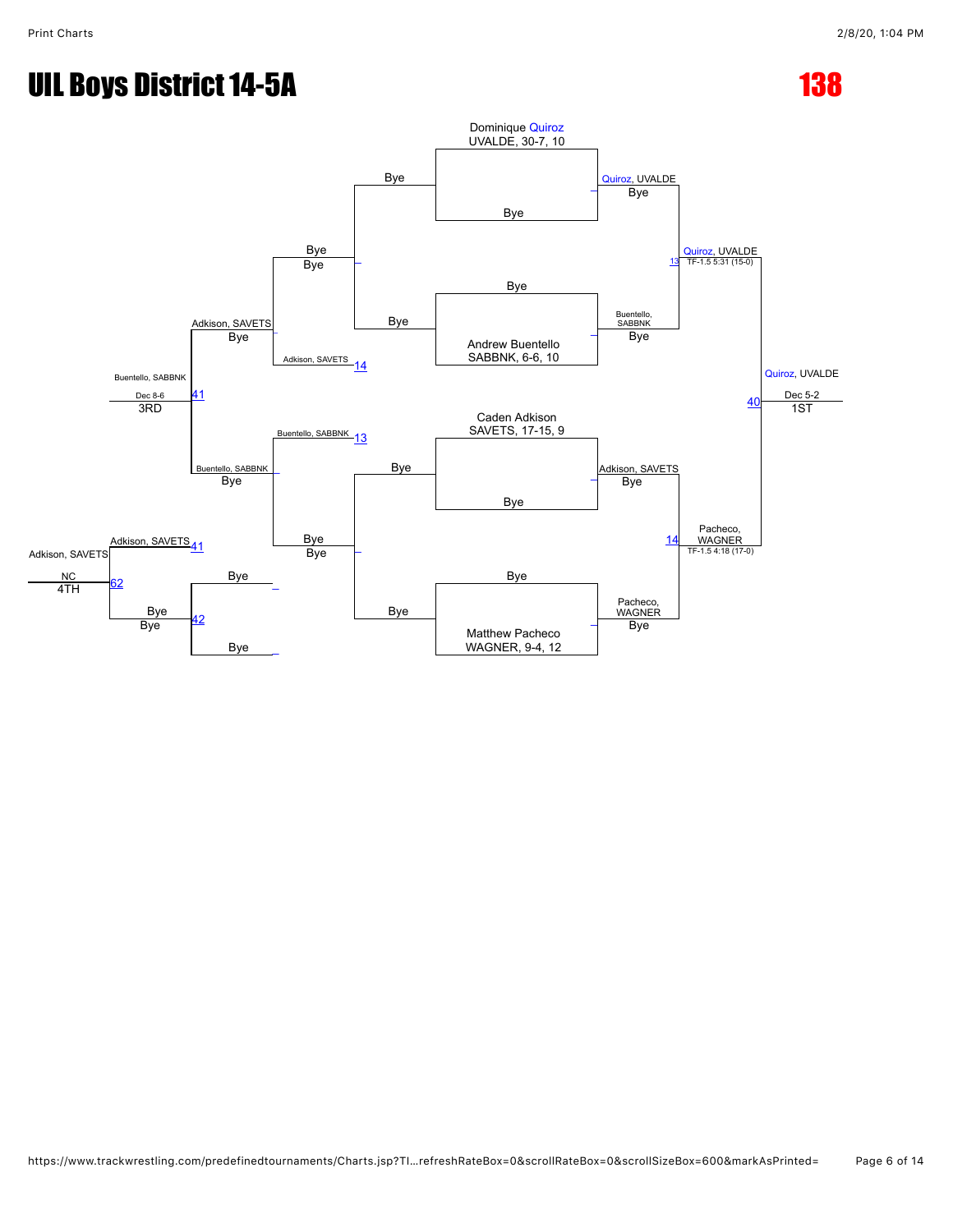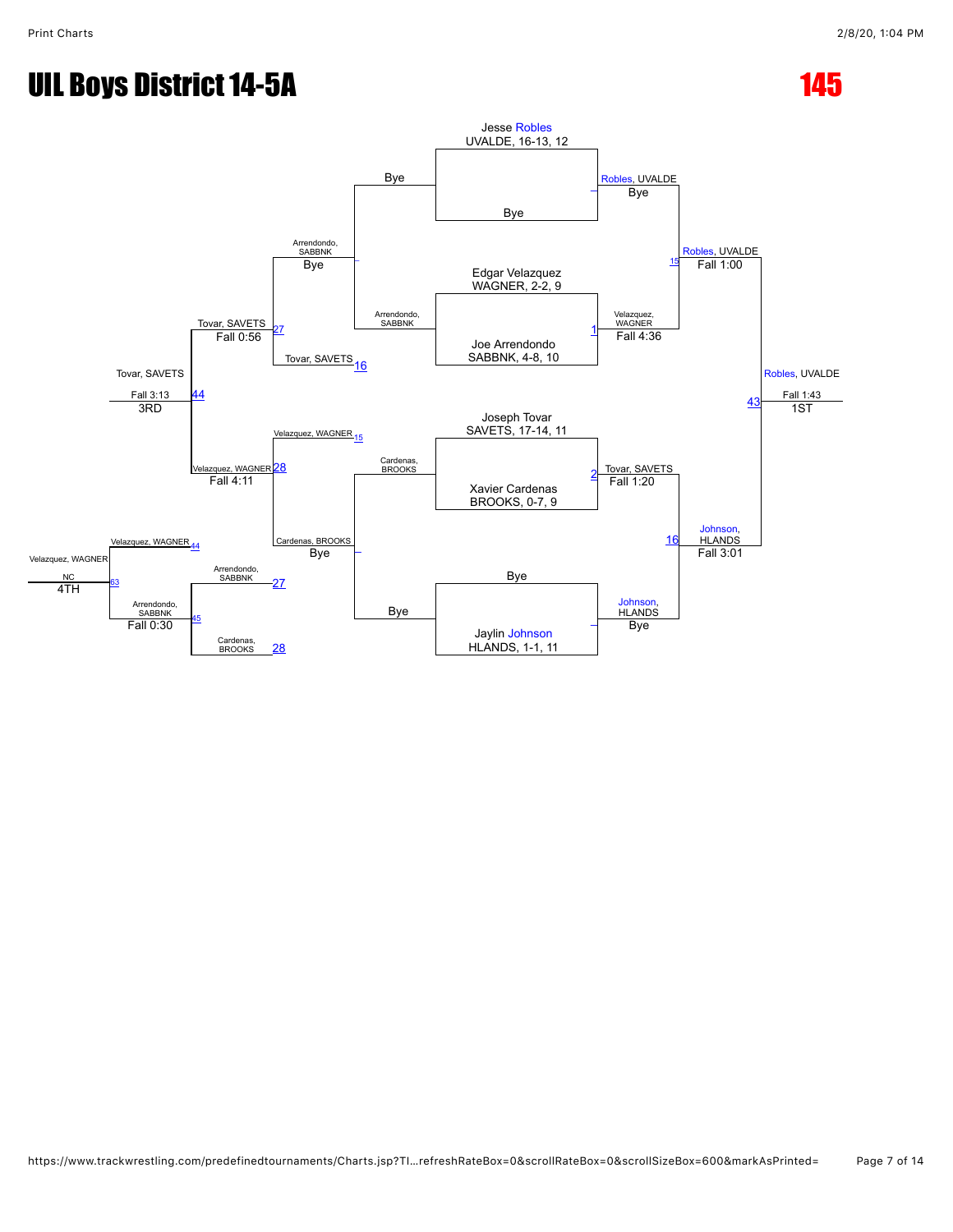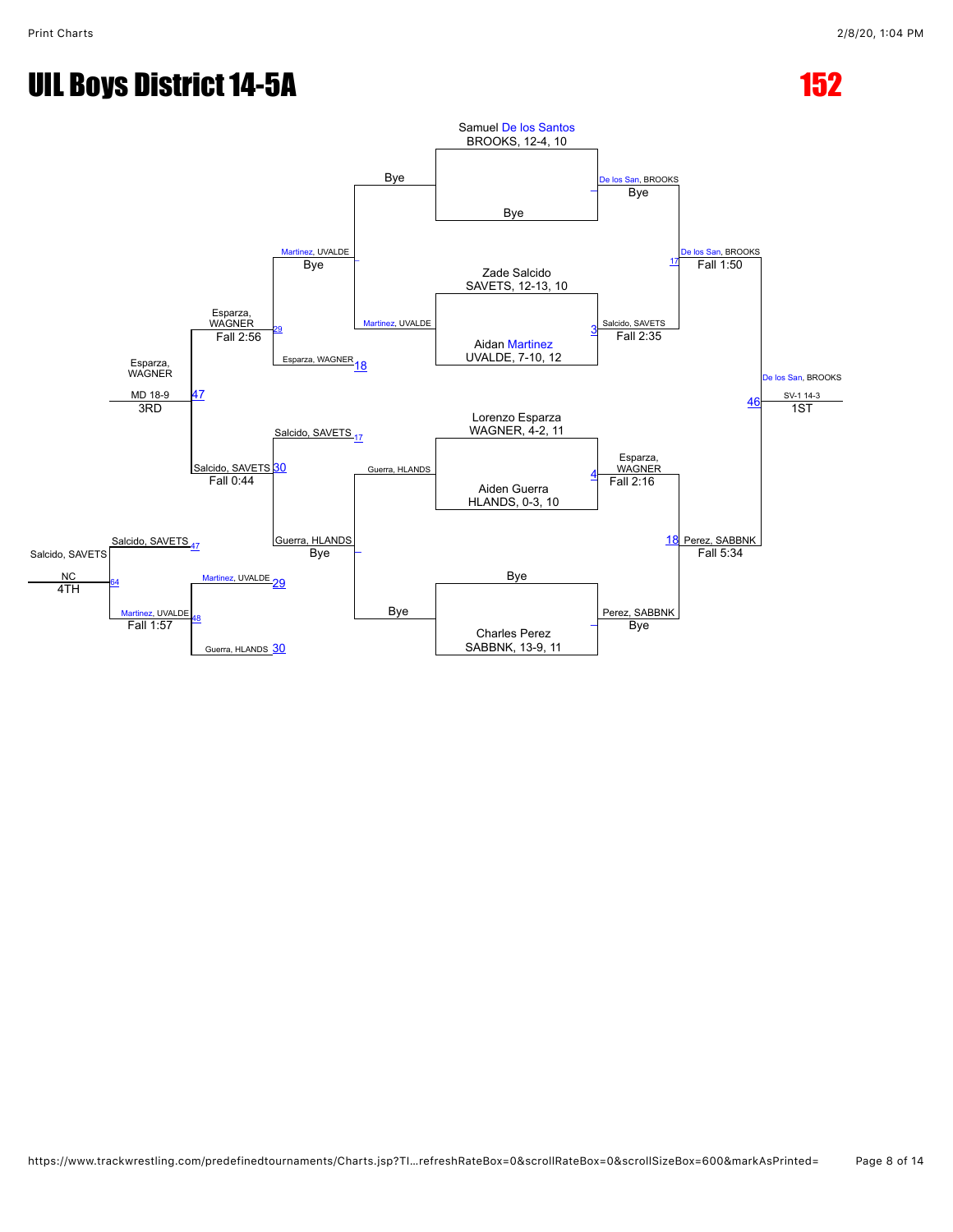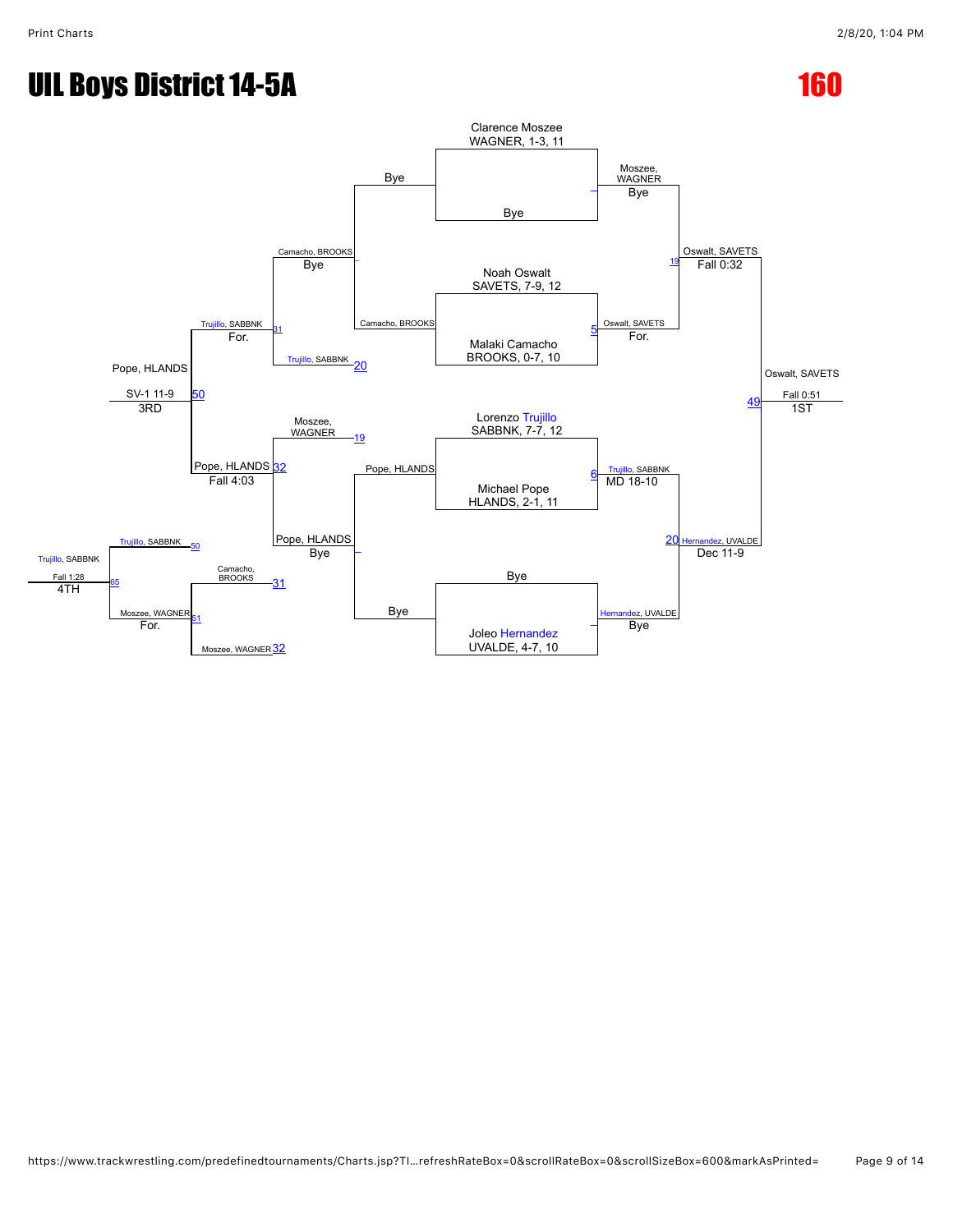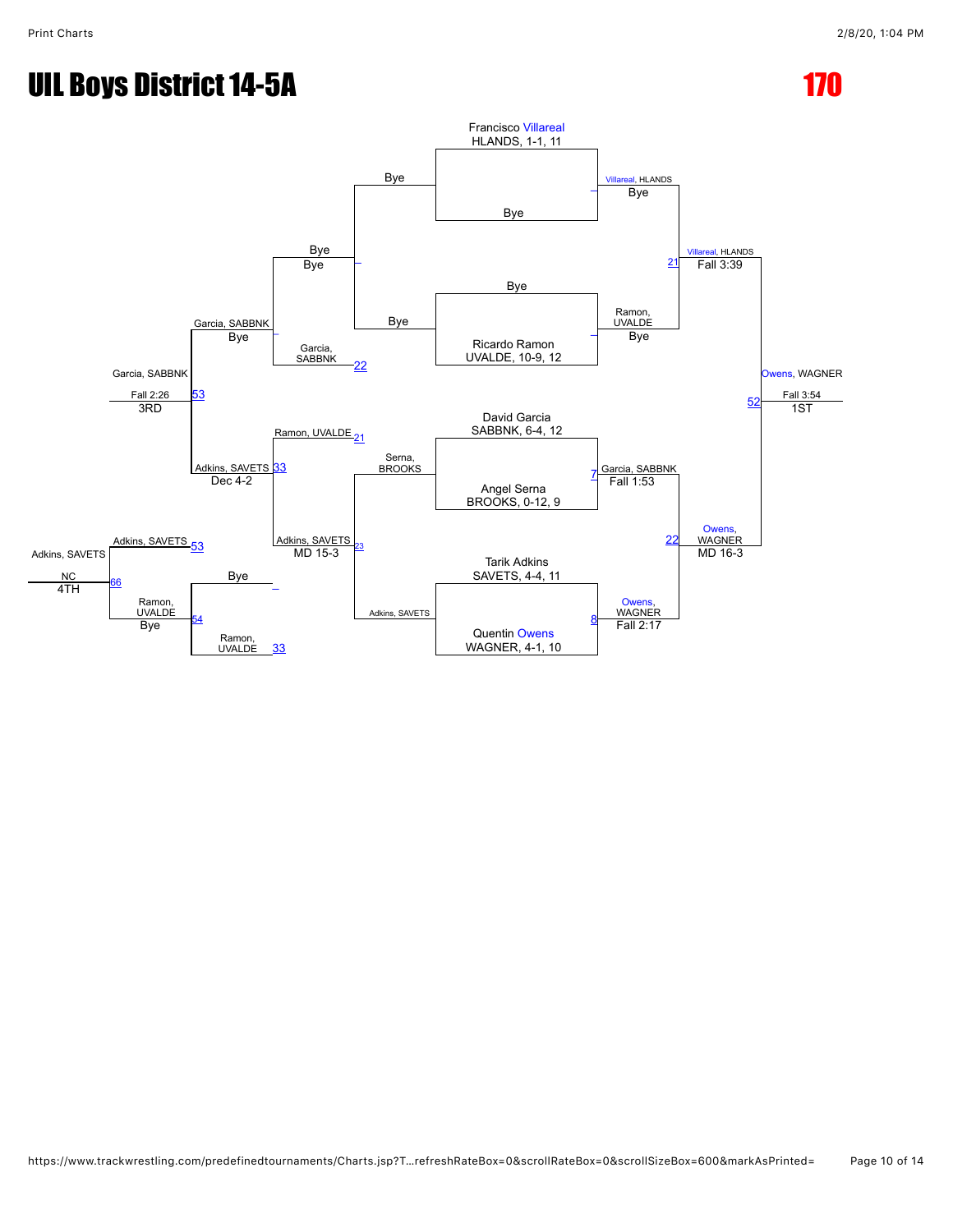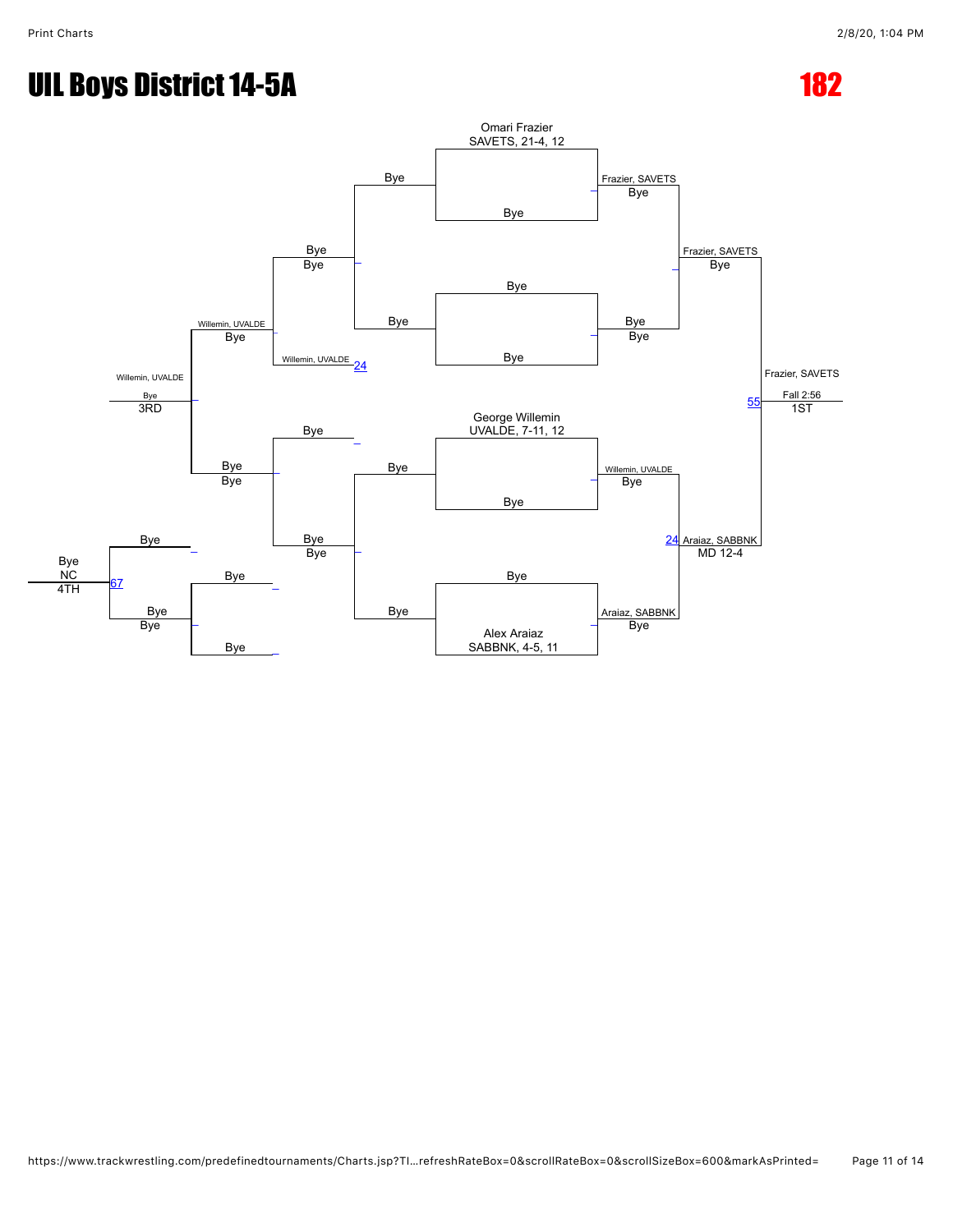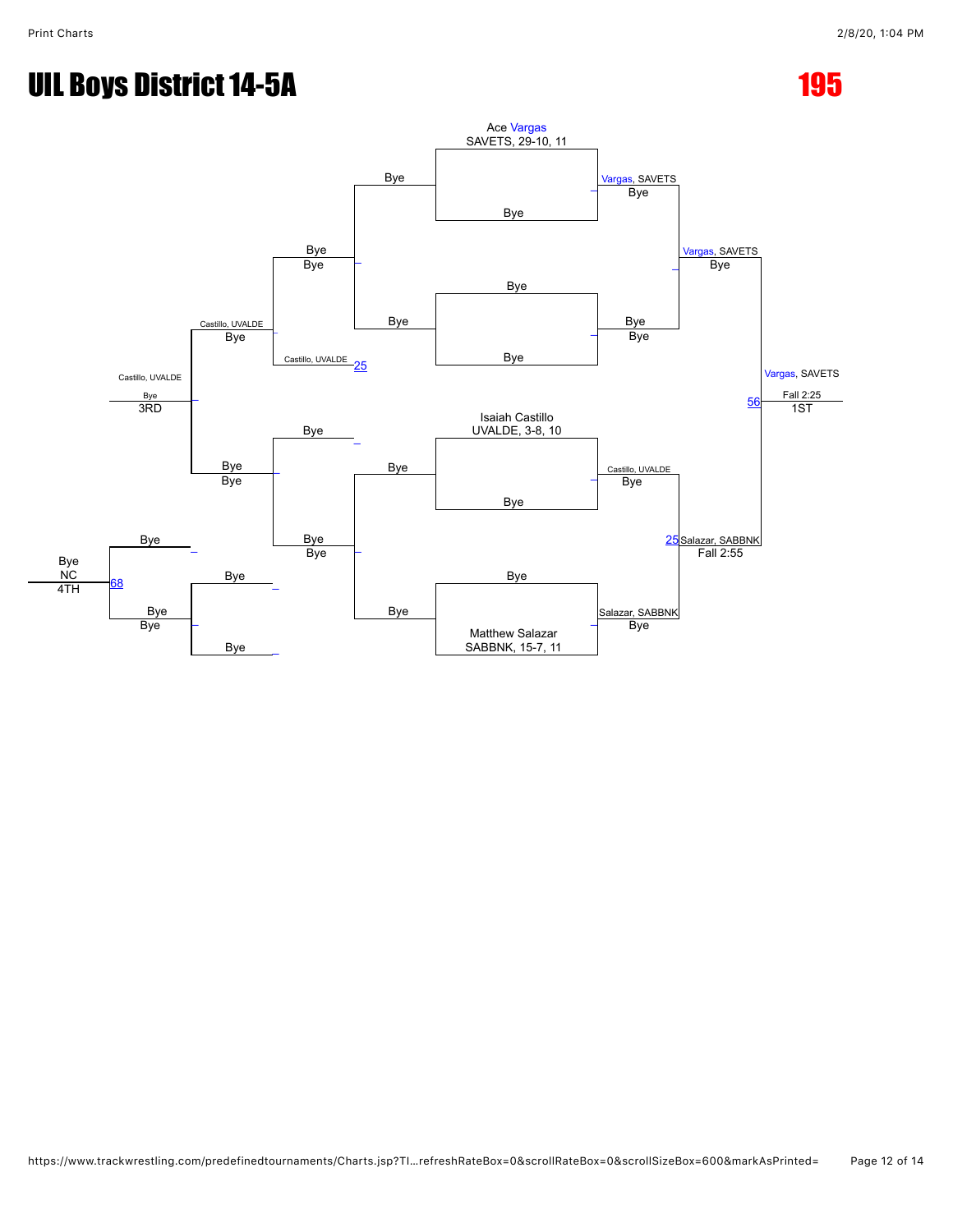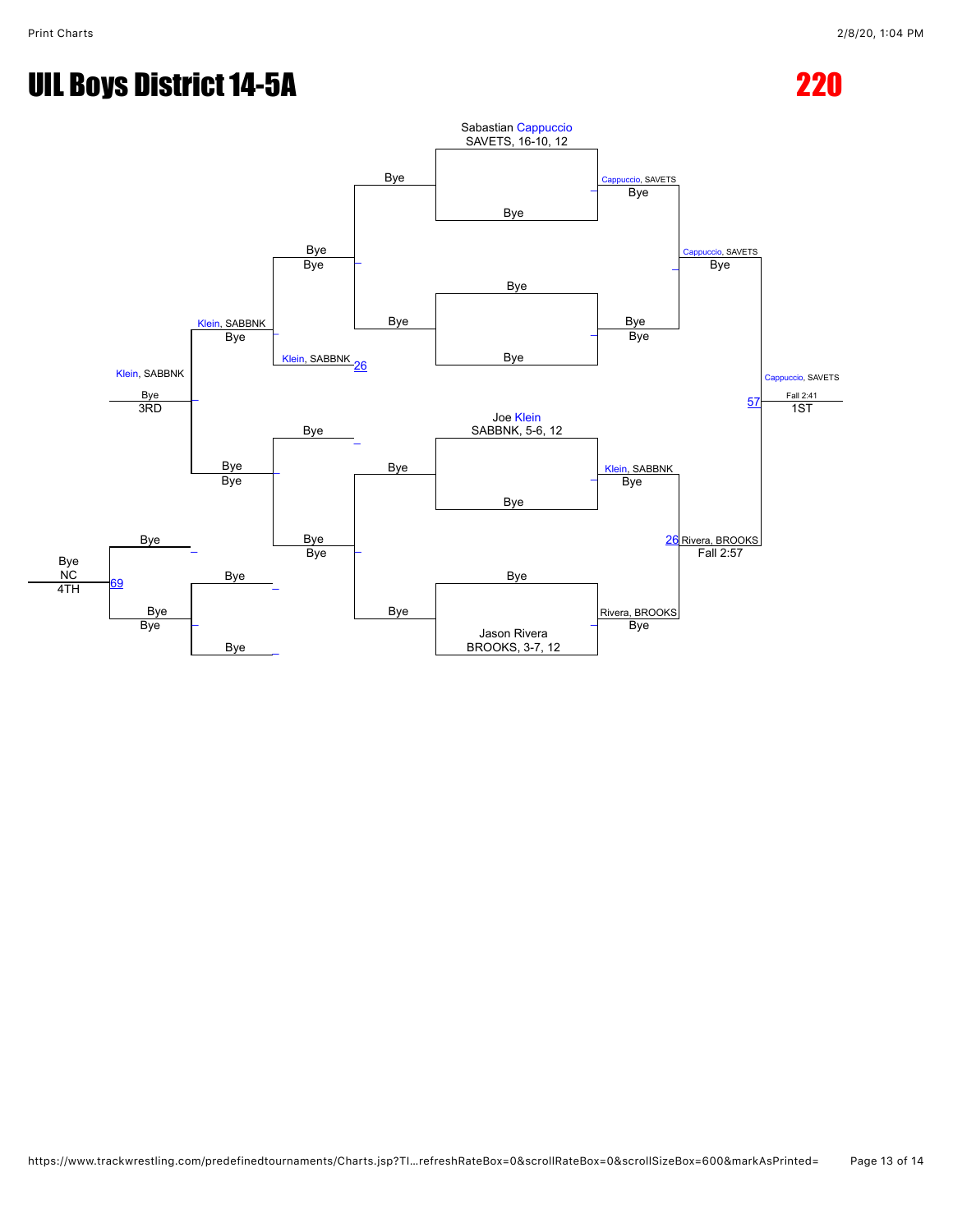